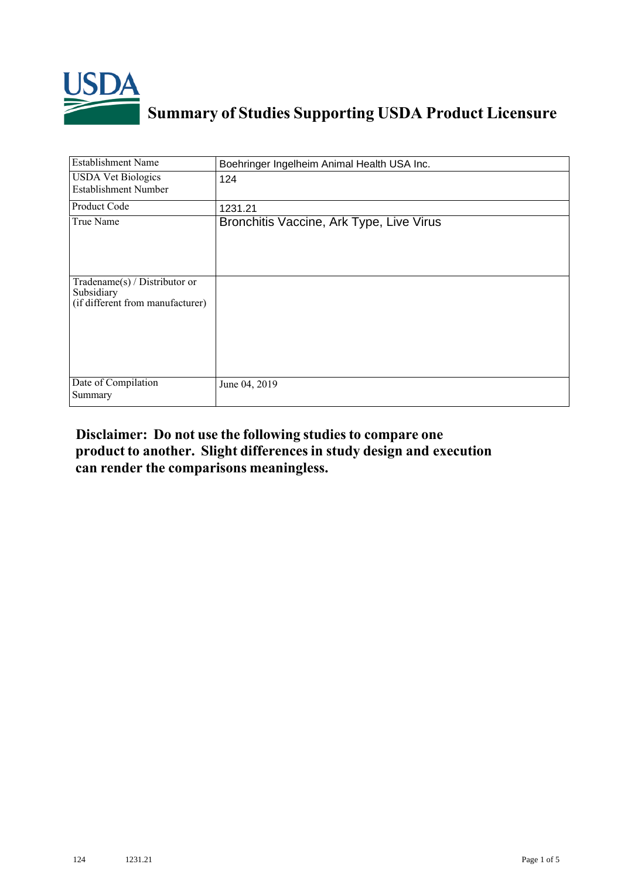

## **Summary of Studies Supporting USDA Product Licensure**

| <b>Establishment Name</b>                                                          | Boehringer Ingelheim Animal Health USA Inc. |
|------------------------------------------------------------------------------------|---------------------------------------------|
| <b>USDA Vet Biologics</b><br><b>Establishment Number</b>                           | 124                                         |
| Product Code                                                                       | 1231.21                                     |
| True Name                                                                          | Bronchitis Vaccine, Ark Type, Live Virus    |
| Tradename $(s)$ / Distributor or<br>Subsidiary<br>(if different from manufacturer) |                                             |
| Date of Compilation<br>Summary                                                     | June 04, 2019                               |

## **Disclaimer: Do not use the following studiesto compare one product to another. Slight differencesin study design and execution can render the comparisons meaningless.**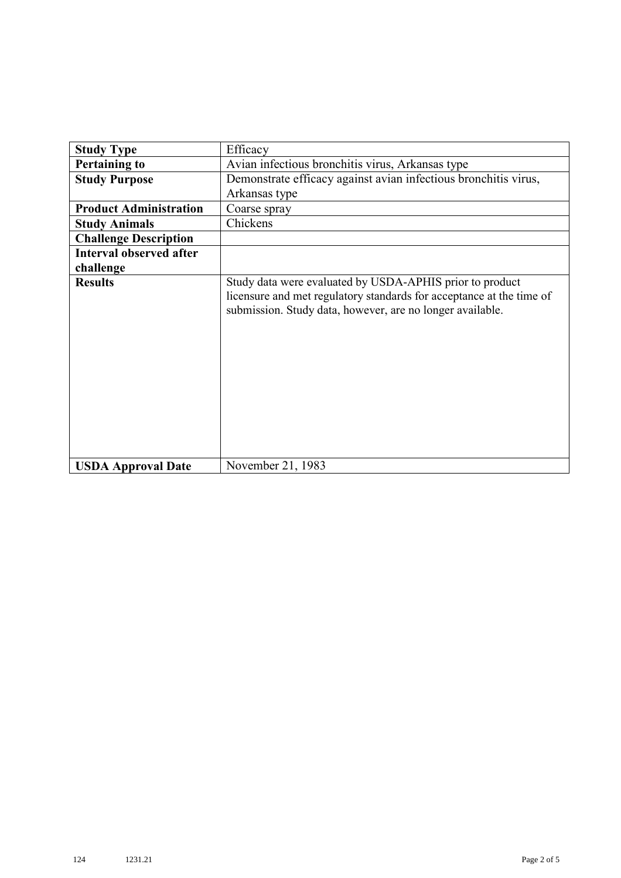| <b>Study Type</b>              | Efficacy                                                                                                                                                                                      |
|--------------------------------|-----------------------------------------------------------------------------------------------------------------------------------------------------------------------------------------------|
| <b>Pertaining to</b>           | Avian infectious bronchitis virus, Arkansas type                                                                                                                                              |
| <b>Study Purpose</b>           | Demonstrate efficacy against avian infectious bronchitis virus,                                                                                                                               |
|                                | Arkansas type                                                                                                                                                                                 |
| <b>Product Administration</b>  | Coarse spray                                                                                                                                                                                  |
| <b>Study Animals</b>           | Chickens                                                                                                                                                                                      |
| <b>Challenge Description</b>   |                                                                                                                                                                                               |
| <b>Interval observed after</b> |                                                                                                                                                                                               |
| challenge                      |                                                                                                                                                                                               |
| <b>Results</b>                 | Study data were evaluated by USDA-APHIS prior to product<br>licensure and met regulatory standards for acceptance at the time of<br>submission. Study data, however, are no longer available. |
| <b>USDA Approval Date</b>      | November 21, 1983                                                                                                                                                                             |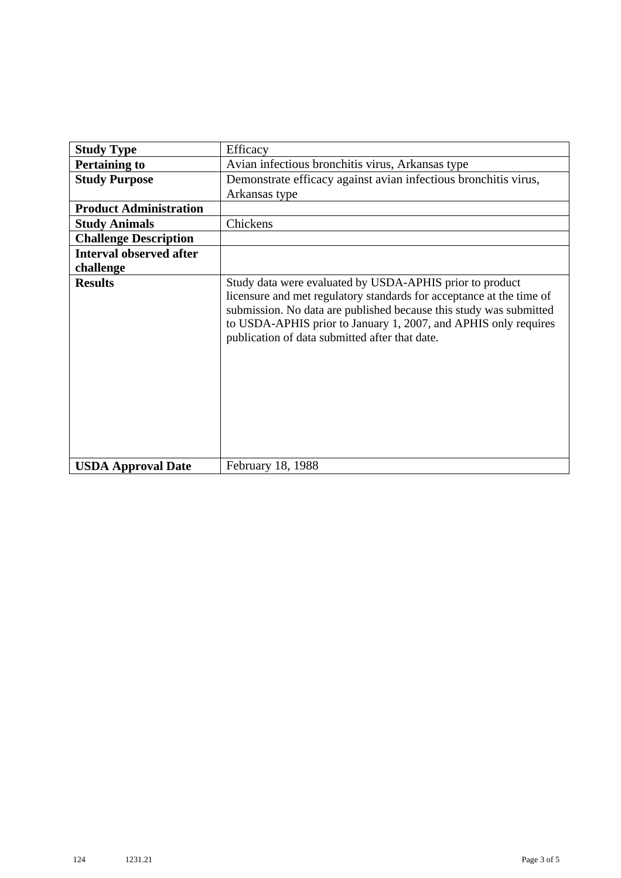| <b>Study Type</b>              | Efficacy                                                                                                                                                                                                                                                                                                                    |
|--------------------------------|-----------------------------------------------------------------------------------------------------------------------------------------------------------------------------------------------------------------------------------------------------------------------------------------------------------------------------|
| <b>Pertaining to</b>           | Avian infectious bronchitis virus, Arkansas type                                                                                                                                                                                                                                                                            |
| <b>Study Purpose</b>           | Demonstrate efficacy against avian infectious bronchitis virus,                                                                                                                                                                                                                                                             |
|                                | Arkansas type                                                                                                                                                                                                                                                                                                               |
| <b>Product Administration</b>  |                                                                                                                                                                                                                                                                                                                             |
| <b>Study Animals</b>           | Chickens                                                                                                                                                                                                                                                                                                                    |
| <b>Challenge Description</b>   |                                                                                                                                                                                                                                                                                                                             |
| <b>Interval observed after</b> |                                                                                                                                                                                                                                                                                                                             |
| challenge                      |                                                                                                                                                                                                                                                                                                                             |
| <b>Results</b>                 | Study data were evaluated by USDA-APHIS prior to product<br>licensure and met regulatory standards for acceptance at the time of<br>submission. No data are published because this study was submitted<br>to USDA-APHIS prior to January 1, 2007, and APHIS only requires<br>publication of data submitted after that date. |
| <b>USDA Approval Date</b>      | February 18, 1988                                                                                                                                                                                                                                                                                                           |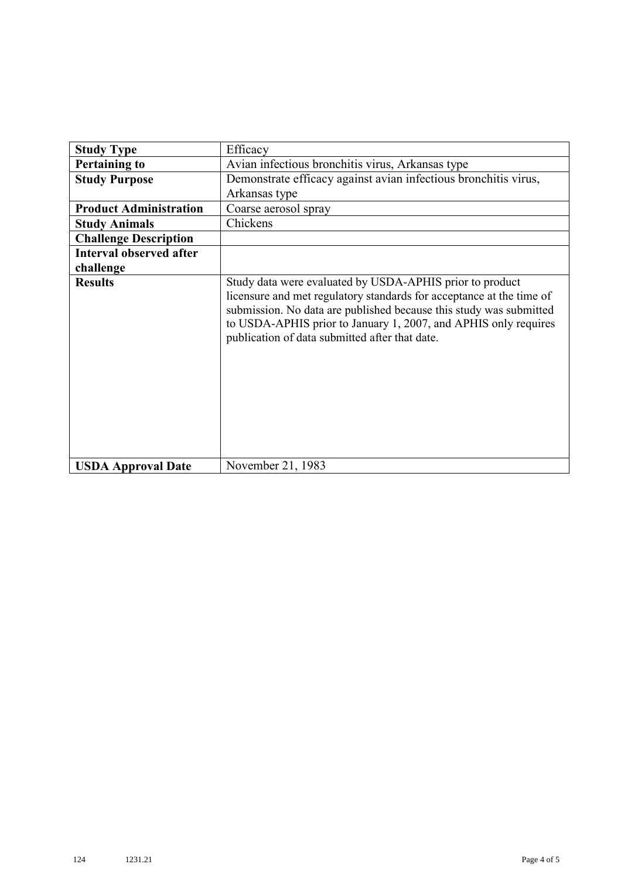| <b>Study Type</b>              | Efficacy                                                                                                                                                                                                                                                                                                                    |
|--------------------------------|-----------------------------------------------------------------------------------------------------------------------------------------------------------------------------------------------------------------------------------------------------------------------------------------------------------------------------|
| <b>Pertaining to</b>           | Avian infectious bronchitis virus, Arkansas type                                                                                                                                                                                                                                                                            |
| <b>Study Purpose</b>           | Demonstrate efficacy against avian infectious bronchitis virus,<br>Arkansas type                                                                                                                                                                                                                                            |
| <b>Product Administration</b>  | Coarse aerosol spray                                                                                                                                                                                                                                                                                                        |
| <b>Study Animals</b>           | Chickens                                                                                                                                                                                                                                                                                                                    |
| <b>Challenge Description</b>   |                                                                                                                                                                                                                                                                                                                             |
| <b>Interval observed after</b> |                                                                                                                                                                                                                                                                                                                             |
| challenge                      |                                                                                                                                                                                                                                                                                                                             |
| <b>Results</b>                 | Study data were evaluated by USDA-APHIS prior to product<br>licensure and met regulatory standards for acceptance at the time of<br>submission. No data are published because this study was submitted<br>to USDA-APHIS prior to January 1, 2007, and APHIS only requires<br>publication of data submitted after that date. |
| <b>USDA Approval Date</b>      | November 21, 1983                                                                                                                                                                                                                                                                                                           |